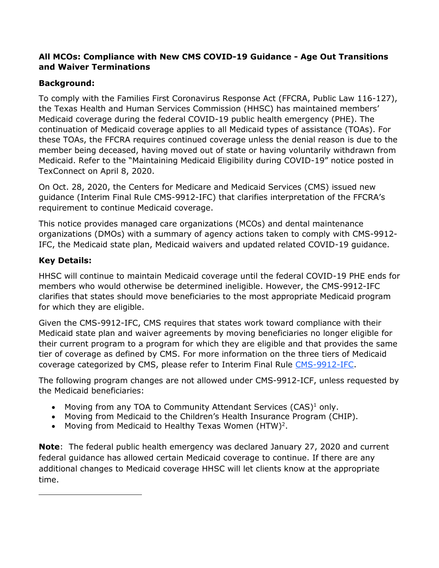#### **All MCOs: Compliance with New CMS COVID-19 Guidance - Age Out Transitions and Waiver Terminations**

### **Background:**

To comply with the Families First Coronavirus Response Act (FFCRA, Public Law 116-127), the Texas Health and Human Services Commission (HHSC) has maintained members' Medicaid coverage during the federal COVID-19 public health emergency (PHE). The continuation of Medicaid coverage applies to all Medicaid types of assistance (TOAs). For these TOAs, the FFCRA requires continued coverage unless the denial reason is due to the member being deceased, having moved out of state or having voluntarily withdrawn from Medicaid. Refer to the "Maintaining Medicaid Eligibility during COVID-19" notice posted in TexConnect on April 8, 2020.

On Oct. 28, 2020, the Centers for Medicare and Medicaid Services (CMS) issued new guidance (Interim Final Rule CMS-9912-IFC) that clarifies interpretation of the FFCRA's requirement to continue Medicaid coverage.

This notice provides managed care organizations (MCOs) and dental maintenance organizations (DMOs) with a summary of agency actions taken to comply with CMS-9912- IFC, the Medicaid state plan, Medicaid waivers and updated related COVID-19 guidance.

### **Key Details:**

 $\overline{a}$ 

HHSC will continue to maintain Medicaid coverage until the federal COVID-19 PHE ends for members who would otherwise be determined ineligible. However, the CMS-9912-IFC clarifies that states should move beneficiaries to the most appropriate Medicaid program for which they are eligible.

Given the CMS-9912-IFC, CMS requires that states work toward compliance with their Medicaid state plan and waiver agreements by moving beneficiaries no longer eligible for their current program to a program for which they are eligible and that provides the same tier of coverage as defined by CMS. For more information on the three tiers of Medicaid coverage categorized by CMS, please refer to Interim Final Rule [CMS-9912-IFC.](https://www.cms.gov/files/document/covid-vax-ifc-4.pdf)

The following program changes are not allowed under CMS-9912-ICF, unless requested by the Medicaid beneficiaries:

- Moving from any TOA to Community Attendant Services (CAS)<sup>1</sup> only.
- Moving from Medicaid to the Children's Health Insurance Program (CHIP).
- Moving from Medicaid to Healthy Texas Women  $(HTW)^2$ .

**Note**: The federal public health emergency was declared January 27, 2020 and current federal guidance has allowed certain Medicaid coverage to continue. If there are any additional changes to Medicaid coverage HHSC will let clients know at the appropriate time.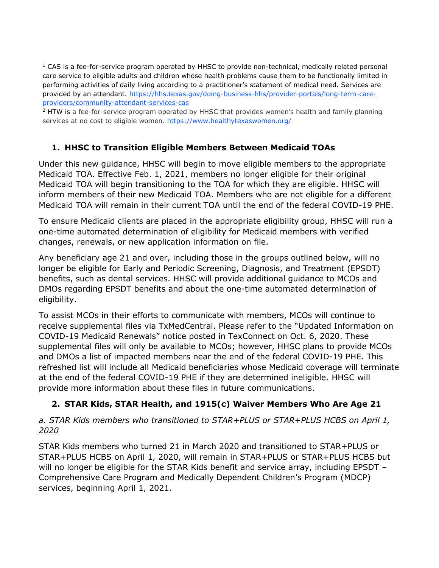$1$  CAS is a fee-for-service program operated by HHSC to provide non-technical, medically related personal care service to eligible adults and children whose health problems cause them to be functionally limited in performing activities of daily living according to a practitioner's statement of medical need. Services are provided by an attendant. [https://hhs.texas.gov/doing-business-hhs/provider-portals/long-term-care](https://hhs.texas.gov/doing-business-hhs/provider-portals/long-term-care-providers/community-attendant-services-cas)[providers/community-attendant-services-cas](https://hhs.texas.gov/doing-business-hhs/provider-portals/long-term-care-providers/community-attendant-services-cas)

 $<sup>2</sup>$  HTW is a fee-for-service program operated by HHSC that provides women's health and family planning</sup> services at no cost to eligible women.<https://www.healthytexaswomen.org/>

### **1. HHSC to Transition Eligible Members Between Medicaid TOAs**

Under this new guidance, HHSC will begin to move eligible members to the appropriate Medicaid TOA. Effective Feb. 1, 2021, members no longer eligible for their original Medicaid TOA will begin transitioning to the TOA for which they are eligible. HHSC will inform members of their new Medicaid TOA. Members who are not eligible for a different Medicaid TOA will remain in their current TOA until the end of the federal COVID-19 PHE.

To ensure Medicaid clients are placed in the appropriate eligibility group, HHSC will run a one-time automated determination of eligibility for Medicaid members with verified changes, renewals, or new application information on file.

Any beneficiary age 21 and over, including those in the groups outlined below, will no longer be eligible for Early and Periodic Screening, Diagnosis, and Treatment (EPSDT) benefits, such as dental services. HHSC will provide additional guidance to MCOs and DMOs regarding EPSDT benefits and about the one-time automated determination of eligibility.

To assist MCOs in their efforts to communicate with members, MCOs will continue to receive supplemental files via TxMedCentral. Please refer to the "Updated Information on COVID-19 Medicaid Renewals" notice posted in TexConnect on Oct. 6, 2020. These supplemental files will only be available to MCOs; however, HHSC plans to provide MCOs and DMOs a list of impacted members near the end of the federal COVID-19 PHE. This refreshed list will include all Medicaid beneficiaries whose Medicaid coverage will terminate at the end of the federal COVID-19 PHE if they are determined ineligible. HHSC will provide more information about these files in future communications.

## **2. STAR Kids, STAR Health, and 1915(c) Waiver Members Who Are Age 21**

### *a. STAR Kids members who transitioned to STAR+PLUS or STAR+PLUS HCBS on April 1, 2020*

STAR Kids members who turned 21 in March 2020 and transitioned to STAR+PLUS or STAR+PLUS HCBS on April 1, 2020, will remain in STAR+PLUS or STAR+PLUS HCBS but will no longer be eligible for the STAR Kids benefit and service array, including EPSDT – Comprehensive Care Program and Medically Dependent Children's Program (MDCP) services, beginning April 1, 2021.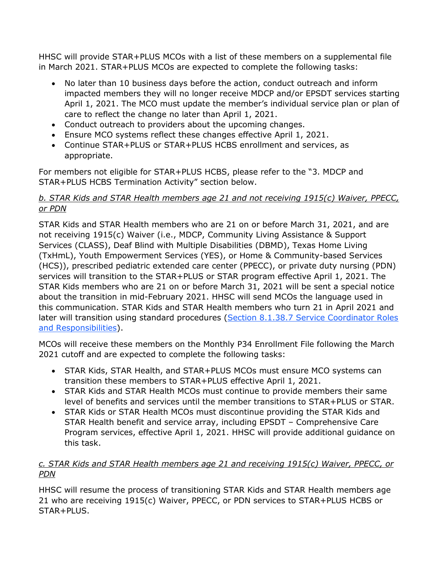HHSC will provide STAR+PLUS MCOs with a list of these members on a supplemental file in March 2021. STAR+PLUS MCOs are expected to complete the following tasks:

- No later than 10 business days before the action, conduct outreach and inform impacted members they will no longer receive MDCP and/or EPSDT services starting April 1, 2021. The MCO must update the member's individual service plan or plan of care to reflect the change no later than April 1, 2021.
- Conduct outreach to providers about the upcoming changes.
- Ensure MCO systems reflect these changes effective April 1, 2021.
- Continue STAR+PLUS or STAR+PLUS HCBS enrollment and services, as appropriate.

For members not eligible for STAR+PLUS HCBS, please refer to the "3. MDCP and STAR+PLUS HCBS Termination Activity" section below.

#### *b. STAR Kids and STAR Health members age 21 and not receiving 1915(c) Waiver, PPECC, or PDN*

STAR Kids and STAR Health members who are 21 on or before March 31, 2021, and are not receiving 1915(c) Waiver (i.e., MDCP, Community Living Assistance & Support Services (CLASS), Deaf Blind with Multiple Disabilities (DBMD), Texas Home Living (TxHmL), Youth Empowerment Services (YES), or Home & Community-based Services (HCS)), prescribed pediatric extended care center (PPECC), or private duty nursing (PDN) services will transition to the STAR+PLUS or STAR program effective April 1, 2021. The STAR Kids members who are 21 on or before March 31, 2021 will be sent a special notice about the transition in mid-February 2021. HHSC will send MCOs the language used in this communication. STAR Kids and STAR Health members who turn 21 in April 2021 and later will transition using standard procedures [\(Section 8.1.38.7 Service Coordinator Roles](https://hhs.texas.gov/sites/default/files/documents/services/health/medicaid-chip/programs/contracts/star-kids-contract.pdf)  [and Responsibilities\)](https://hhs.texas.gov/sites/default/files/documents/services/health/medicaid-chip/programs/contracts/star-kids-contract.pdf).

MCOs will receive these members on the Monthly P34 Enrollment File following the March 2021 cutoff and are expected to complete the following tasks:

- STAR Kids, STAR Health, and STAR+PLUS MCOs must ensure MCO systems can transition these members to STAR+PLUS effective April 1, 2021.
- STAR Kids and STAR Health MCOs must continue to provide members their same level of benefits and services until the member transitions to STAR+PLUS or STAR.
- STAR Kids or STAR Health MCOs must discontinue providing the STAR Kids and STAR Health benefit and service array, including EPSDT – Comprehensive Care Program services, effective April 1, 2021. HHSC will provide additional guidance on this task.

## *c. STAR Kids and STAR Health members age 21 and receiving 1915(c) Waiver, PPECC, or PDN*

HHSC will resume the process of transitioning STAR Kids and STAR Health members age 21 who are receiving 1915(c) Waiver, PPECC, or PDN services to STAR+PLUS HCBS or STAR+PLUS.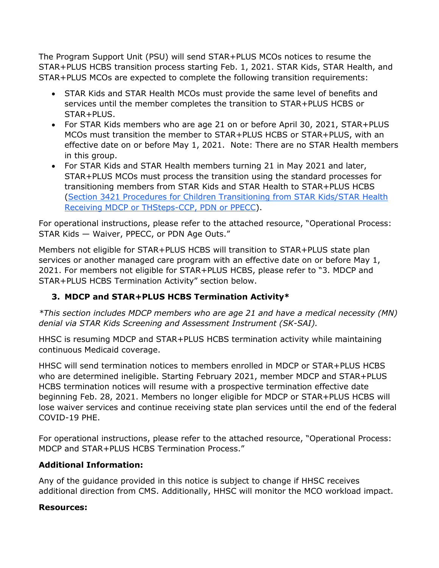The Program Support Unit (PSU) will send STAR+PLUS MCOs notices to resume the STAR+PLUS HCBS transition process starting Feb. 1, 2021. STAR Kids, STAR Health, and STAR+PLUS MCOs are expected to complete the following transition requirements:

- STAR Kids and STAR Health MCOs must provide the same level of benefits and services until the member completes the transition to STAR+PLUS HCBS or STAR+PLUS.
- For STAR Kids members who are age 21 on or before April 30, 2021, STAR+PLUS MCOs must transition the member to STAR+PLUS HCBS or STAR+PLUS, with an effective date on or before May 1, 2021. Note: There are no STAR Health members in this group.
- For STAR Kids and STAR Health members turning 21 in May 2021 and later, STAR+PLUS MCOs must process the transition using the standard processes for transitioning members from STAR Kids and STAR Health to STAR+PLUS HCBS [\(Section 3421 Procedures for Children Transitioning from STAR Kids/STAR Health](https://hhs.texas.gov/laws-regulations/handbooks/spoph/section-3000-starplus-hcbs-program-eligibility-services#3420)  [Receiving MDCP or THSteps-CCP, PDN or PPECC\)](https://hhs.texas.gov/laws-regulations/handbooks/spoph/section-3000-starplus-hcbs-program-eligibility-services#3420).

For operational instructions, please refer to the attached resource, "Operational Process: STAR Kids — Waiver, PPECC, or PDN Age Outs."

Members not eligible for STAR+PLUS HCBS will transition to STAR+PLUS state plan services or another managed care program with an effective date on or before May 1, 2021. For members not eligible for STAR+PLUS HCBS, please refer to "3. MDCP and STAR+PLUS HCBS Termination Activity" section below.

## **3. MDCP and STAR+PLUS HCBS Termination Activity\***

*\*This section includes MDCP members who are age 21 and have a medical necessity (MN) denial via STAR Kids Screening and Assessment Instrument (SK-SAI).* 

HHSC is resuming MDCP and STAR+PLUS HCBS termination activity while maintaining continuous Medicaid coverage.

HHSC will send termination notices to members enrolled in MDCP or STAR+PLUS HCBS who are determined ineligible. Starting February 2021, member MDCP and STAR+PLUS HCBS termination notices will resume with a prospective termination effective date beginning Feb. 28, 2021. Members no longer eligible for MDCP or STAR+PLUS HCBS will lose waiver services and continue receiving state plan services until the end of the federal COVID-19 PHE.

For operational instructions, please refer to the attached resource, "Operational Process: MDCP and STAR+PLUS HCBS Termination Process."

#### **Additional Information:**

Any of the guidance provided in this notice is subject to change if HHSC receives additional direction from CMS. Additionally, HHSC will monitor the MCO workload impact.

#### **Resources:**